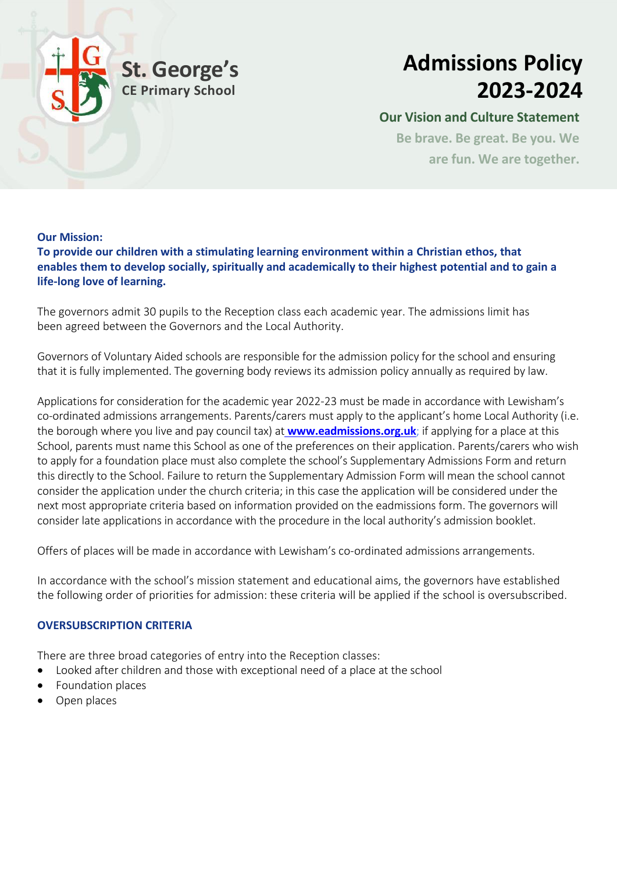

## **Admissions Policy 2023-2024**

#### **Our Vision and Culture Statement**

**Be brave. Be great. Be you. We are fun. We are together.**

#### **Our Mission:**

**To provide our children with a stimulating learning environment within a Christian ethos, that enables them to develop socially, spiritually and academically to their highest potential and to gain a life-long love of learning.**

The governors admit 30 pupils to the Reception class each academic year. The admissions limit has been agreed between the Governors and the Local Authority.

Governors of Voluntary Aided schools are responsible for the admission policy for the school and ensuring that it is fully implemented. The governing body reviews its admission policy annually as required by law.

Applications for consideration for the academic year 2022-23 must be made in accordance with Lewisham's co-ordinated admissions arrangements. Parents/carers must apply to the applicant's home Local Authority (i.e. the borough where you live and pay council tax) at **www.eadmissions.org.uk**; if applying for a place at this School, parents must name this School as one of the preferences on their application. Parents/carers who wish to apply for a foundation place must also complete the school's Supplementary Admissions Form and return this directly to the School. Failure to return the Supplementary Admission Form will mean the school cannot consider the application under the church criteria; in this case the application will be considered under the next most appropriate criteria based on information provided on the eadmissions form. The governors will consider late applications in accordance with the procedure in the local authority's admission booklet.

Offers of places will be made in accordance with Lewisham's co-ordinated admissions arrangements.

In accordance with the school's mission statement and educational aims, the governors have established the following order of priorities for admission: these criteria will be applied if the school is oversubscribed.

#### **OVERSUBSCRIPTION CRITERIA**

There are three broad categories of entry into the Reception classes:

- Looked after children and those with exceptional need of a place at the school
- Foundation places
- Open places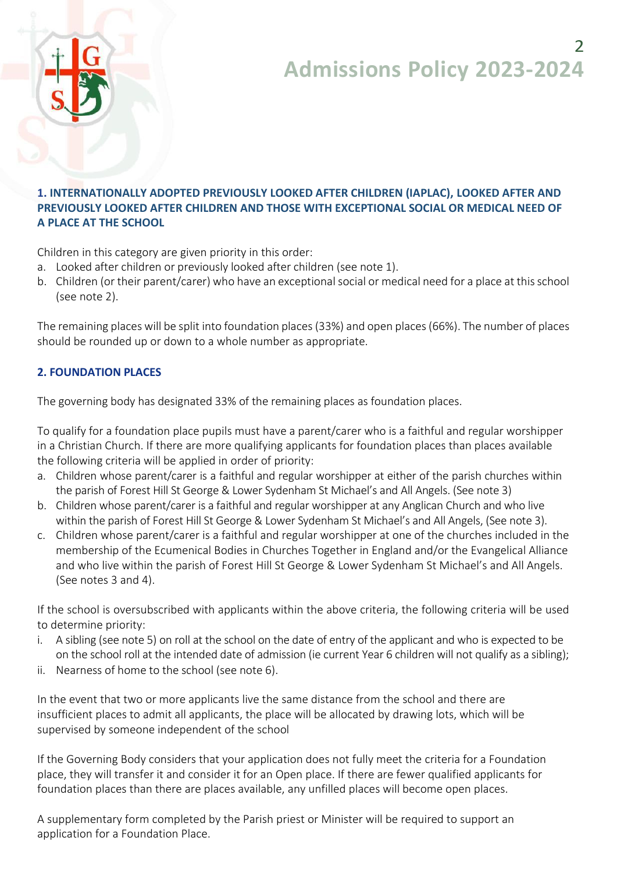## $\mathcal{P}$ **Admissions Policy 2023-2024**



#### **1. INTERNATIONALLY ADOPTED PREVIOUSLY LOOKED AFTER CHILDREN (IAPLAC), LOOKED AFTER AND PREVIOUSLY LOOKED AFTER CHILDREN AND THOSE WITH EXCEPTIONAL SOCIAL OR MEDICAL NEED OF A PLACE AT THE SCHOOL**

Children in this category are given priority in this order:

- a. Looked after children or previously looked after children (see note 1).
- b. Children (or their parent/carer) who have an exceptional social or medical need for a place at this school (see note 2).

The remaining places will be split into foundation places (33%) and open places (66%). The number of places should be rounded up or down to a whole number as appropriate.

#### **2. FOUNDATION PLACES**

The governing body has designated 33% of the remaining places as foundation places.

To qualify for a foundation place pupils must have a parent/carer who is a faithful and regular worshipper in a Christian Church. If there are more qualifying applicants for foundation places than places available the following criteria will be applied in order of priority:

- a. Children whose parent/carer is a faithful and regular worshipper at either of the parish churches within the parish of Forest Hill St George & Lower Sydenham St Michael's and All Angels. (See note 3)
- b. Children whose parent/carer is a faithful and regular worshipper at any Anglican Church and who live within the parish of Forest Hill St George & Lower Sydenham St Michael's and All Angels, (See note 3).
- c. Children whose parent/carer is a faithful and regular worshipper at one of the churches included in the membership of the Ecumenical Bodies in Churches Together in England and/or the Evangelical Alliance and who live within the parish of Forest Hill St George & Lower Sydenham St Michael's and All Angels. (See notes 3 and 4).

If the school is oversubscribed with applicants within the above criteria, the following criteria will be used to determine priority:

- i. A sibling (see note 5) on roll at the school on the date of entry of the applicant and who is expected to be on the school roll at the intended date of admission (ie current Year 6 children will not qualify as a sibling);
- ii. Nearness of home to the school (see note 6).

In the event that two or more applicants live the same distance from the school and there are insufficient places to admit all applicants, the place will be allocated by drawing lots, which will be supervised by someone independent of the school

If the Governing Body considers that your application does not fully meet the criteria for a Foundation place, they will transfer it and consider it for an Open place. If there are fewer qualified applicants for foundation places than there are places available, any unfilled places will become open places.

A supplementary form completed by the Parish priest or Minister will be required to support an application for a Foundation Place.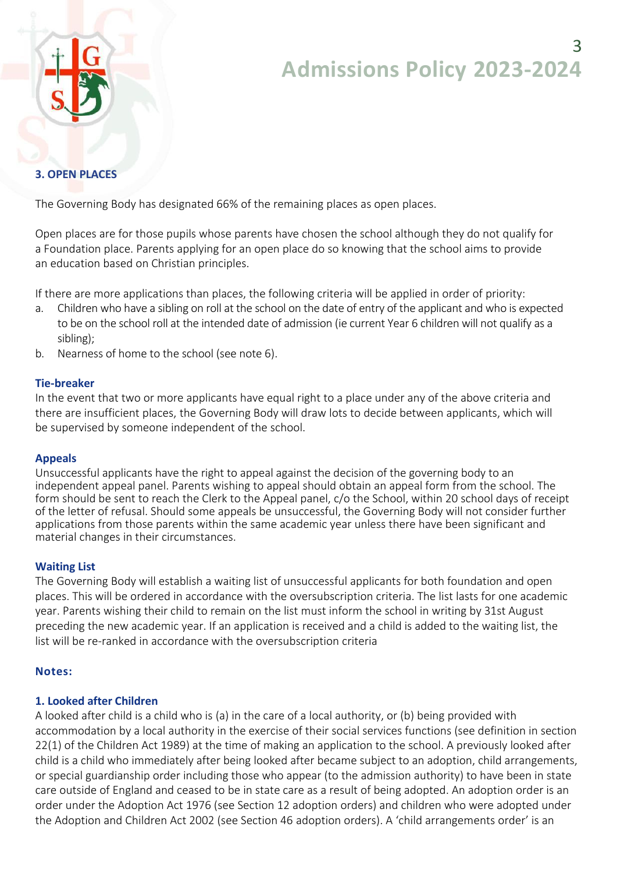# **Admissions Policy 2023-2024**



#### **3. OPEN PLACES**

The Governing Body has designated 66% of the remaining places as open places.

Open places are for those pupils whose parents have chosen the school although they do not qualify for a Foundation place. Parents applying for an open place do so knowing that the school aims to provide an education based on Christian principles.

If there are more applications than places, the following criteria will be applied in order of priority:

- a. Children who have a sibling on roll at the school on the date of entry of the applicant and who is expected to be on the school roll at the intended date of admission (ie current Year 6 children will not qualify as a sibling);
- b. Nearness of home to the school (see note 6).

#### **Tie-breaker**

In the event that two or more applicants have equal right to a place under any of the above criteria and there are insufficient places, the Governing Body will draw lots to decide between applicants, which will be supervised by someone independent of the school.

#### **Appeals**

Unsuccessful applicants have the right to appeal against the decision of the governing body to an independent appeal panel. Parents wishing to appeal should obtain an appeal form from the school. The form should be sent to reach the Clerk to the Appeal panel, c/o the School, within 20 school days of receipt of the letter of refusal. Should some appeals be unsuccessful, the Governing Body will not consider further applications from those parents within the same academic year unless there have been significant and material changes in their circumstances.

#### **Waiting List**

The Governing Body will establish a waiting list of unsuccessful applicants for both foundation and open places. This will be ordered in accordance with the oversubscription criteria. The list lasts for one academic year. Parents wishing their child to remain on the list must inform the school in writing by 31st August preceding the new academic year. If an application is received and a child is added to the waiting list, the list will be re-ranked in accordance with the oversubscription criteria

#### **Notes:**

#### **1. Looked after Children**

A looked after child is a child who is (a) in the care of a local authority, or (b) being provided with accommodation by a local authority in the exercise of their social services functions (see definition in section 22(1) of the Children Act 1989) at the time of making an application to the school. A previously looked after child is a child who immediately after being looked after became subject to an adoption, child arrangements, or special guardianship order including those who appear (to the admission authority) to have been in state care outside of England and ceased to be in state care as a result of being adopted. An adoption order is an order under the Adoption Act 1976 (see Section 12 adoption orders) and children who were adopted under the Adoption and Children Act 2002 (see Section 46 adoption orders). A 'child arrangements order' is an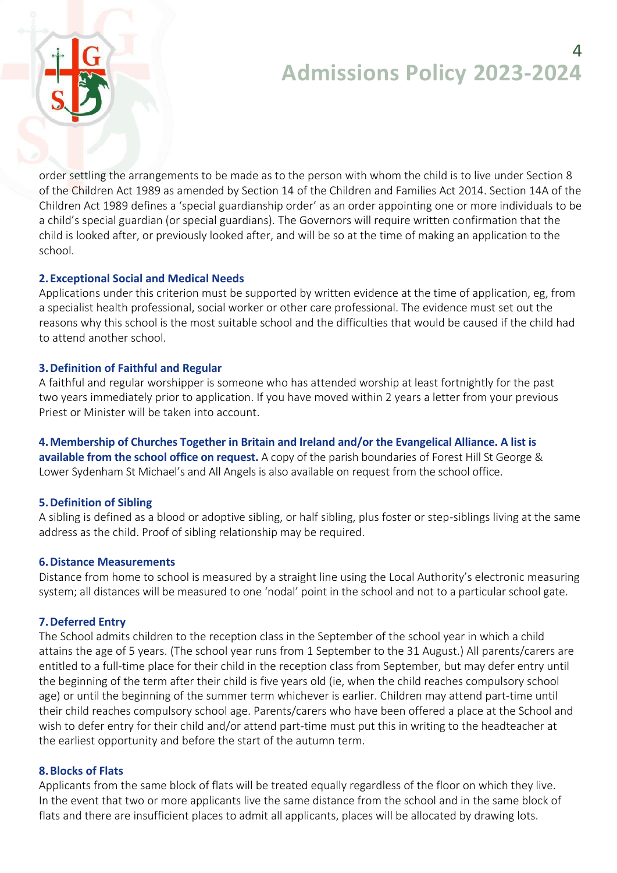### 4 **Admissions Policy 2023-2024**



order settling the arrangements to be made as to the person with whom the child is to live under Section 8 of the Children Act 1989 as amended by Section 14 of the Children and Families Act 2014. Section 14A of the Children Act 1989 defines a 'special guardianship order' as an order appointing one or more individuals to be a child's special guardian (or special guardians). The Governors will require written confirmation that the child is looked after, or previously looked after, and will be so at the time of making an application to the school.

#### **2. Exceptional Social and Medical Needs**

Applications under this criterion must be supported by written evidence at the time of application, eg, from a specialist health professional, social worker or other care professional. The evidence must set out the reasons why this school is the most suitable school and the difficulties that would be caused if the child had to attend another school.

#### **3.Definition of Faithful and Regular**

A faithful and regular worshipper is someone who has attended worship at least fortnightly for the past two years immediately prior to application. If you have moved within 2 years a letter from your previous Priest or Minister will be taken into account.

**4.Membership of Churches Together in Britain and Ireland and/or the Evangelical Alliance. A list is available from the school office on request.** A copy of the parish boundaries of Forest Hill St George & Lower Sydenham St Michael's and All Angels is also available on request from the school office.

#### **5.Definition of Sibling**

A sibling is defined as a blood or adoptive sibling, or half sibling, plus foster or step-siblings living at the same address as the child. Proof of sibling relationship may be required.

#### **6.Distance Measurements**

Distance from home to school is measured by a straight line using the Local Authority's electronic measuring system; all distances will be measured to one 'nodal' point in the school and not to a particular school gate.

#### **7.Deferred Entry**

The School admits children to the reception class in the September of the school year in which a child attains the age of 5 years. (The school year runs from 1 September to the 31 August.) All parents/carers are entitled to a full-time place for their child in the reception class from September, but may defer entry until the beginning of the term after their child is five years old (ie, when the child reaches compulsory school age) or until the beginning of the summer term whichever is earlier. Children may attend part-time until their child reaches compulsory school age. Parents/carers who have been offered a place at the School and wish to defer entry for their child and/or attend part-time must put this in writing to the headteacher at the earliest opportunity and before the start of the autumn term.

#### **8.Blocks of Flats**

Applicants from the same block of flats will be treated equally regardless of the floor on which they live. In the event that two or more applicants live the same distance from the school and in the same block of flats and there are insufficient places to admit all applicants, places will be allocated by drawing lots.